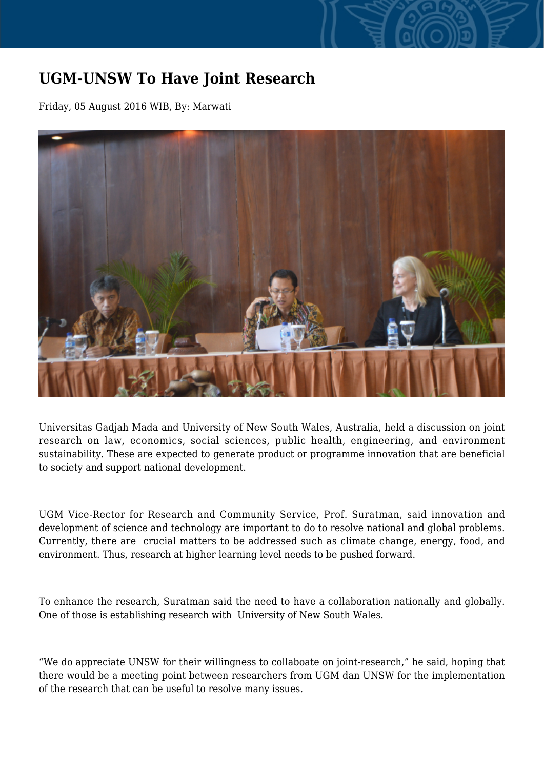## **UGM-UNSW To Have Joint Research**

Friday, 05 August 2016 WIB, By: Marwati



Universitas Gadjah Mada and University of New South Wales, Australia, held a discussion on joint research on law, economics, social sciences, public health, engineering, and environment sustainability. These are expected to generate product or programme innovation that are beneficial to society and support national development.

UGM Vice-Rector for Research and Community Service, Prof. Suratman, said innovation and development of science and technology are important to do to resolve national and global problems. Currently, there are crucial matters to be addressed such as climate change, energy, food, and environment. Thus, research at higher learning level needs to be pushed forward.

To enhance the research, Suratman said the need to have a collaboration nationally and globally. One of those is establishing research with University of New South Wales.

"We do appreciate UNSW for their willingness to collaboate on joint-research," he said, hoping that there would be a meeting point between researchers from UGM dan UNSW for the implementation of the research that can be useful to resolve many issues.